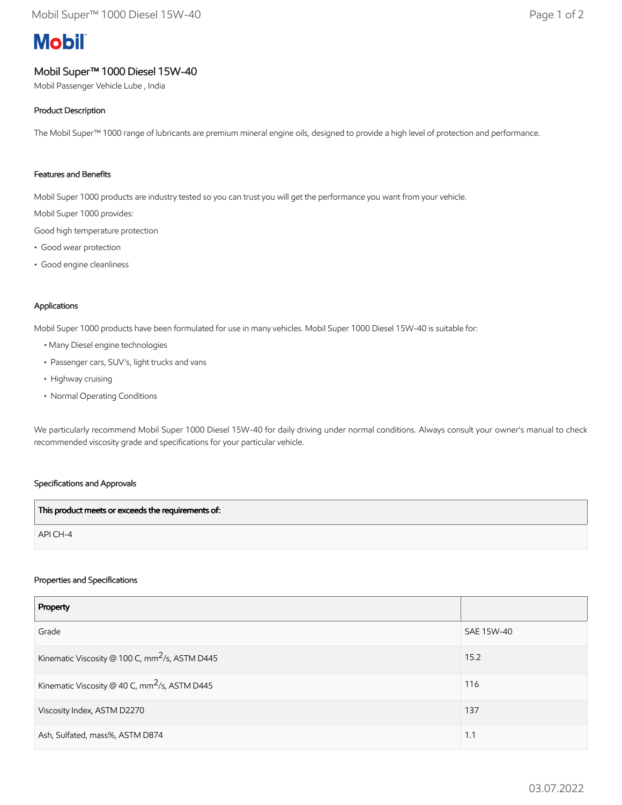# **Mobil**

# Mobil Super™ 1000 Diesel 15W-40

Mobil Passenger Vehicle Lube , India

## Product Description

The Mobil Super™ 1000 range of lubricants are premium mineral engine oils, designed to provide a high level of protection and performance.

### Features and Benefits

Mobil Super 1000 products are industry tested so you can trust you will get the performance you want from your vehicle.

Mobil Super 1000 provides:

Good high temperature protection

- Good wear protection
- Good engine cleanliness

#### Applications

Mobil Super 1000 products have been formulated for use in many vehicles. Mobil Super 1000 Diesel 15W-40 is suitable for:

- Many Diesel engine technologies
- Passenger cars, SUV's, light trucks and vans
- Highway cruising
- Normal Operating Conditions

We particularly recommend Mobil Super 1000 Diesel 15W-40 for daily driving under normal conditions. Always consult your owner's manual to check recommended viscosity grade and specifications for your particular vehicle.

#### Specifications and Approvals

| This product meets or exceeds the requirements of: |  |
|----------------------------------------------------|--|
| $APICH-4$                                          |  |

#### Properties and Specifications

| Property                                                   |            |
|------------------------------------------------------------|------------|
| Grade                                                      | SAE 15W-40 |
| Kinematic Viscosity @ 100 C, mm <sup>2</sup> /s, ASTM D445 | 15.2       |
| Kinematic Viscosity @ 40 C, mm <sup>2</sup> /s, ASTM D445  | 116        |
| Viscosity Index, ASTM D2270                                | 137        |
| Ash, Sulfated, mass%, ASTM D874                            | 1.1        |